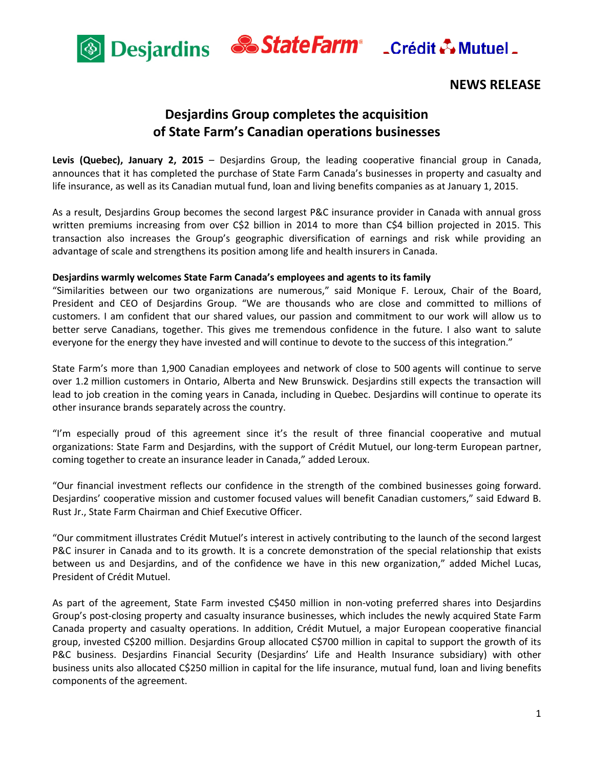



# **NEWS RELEASE**

# **Desjardins Group completes the acquisition of State Farm's Canadian operations businesses**

**Levis (Quebec), January 2, 2015** – Desjardins Group, the leading cooperative financial group in Canada, announces that it has completed the purchase of State Farm Canada's businesses in property and casualty and life insurance, as well as its Canadian mutual fund, loan and living benefits companies as at January 1, 2015.

As a result, Desjardins Group becomes the second largest P&C insurance provider in Canada with annual gross written premiums increasing from over C\$2 billion in 2014 to more than C\$4 billion projected in 2015. This transaction also increases the Group's geographic diversification of earnings and risk while providing an advantage of scale and strengthens its position among life and health insurers in Canada.

## **Desjardins warmly welcomes State Farm Canada's employees and agents to its family**

"Similarities between our two organizations are numerous," said Monique F. Leroux, Chair of the Board, President and CEO of Desjardins Group. "We are thousands who are close and committed to millions of customers. I am confident that our shared values, our passion and commitment to our work will allow us to better serve Canadians, together. This gives me tremendous confidence in the future. I also want to salute everyone for the energy they have invested and will continue to devote to the success of this integration."

State Farm's more than 1,900 Canadian employees and network of close to 500 agents will continue to serve over 1.2 million customers in Ontario, Alberta and New Brunswick. Desjardins still expects the transaction will lead to job creation in the coming years in Canada, including in Quebec. Desjardins will continue to operate its other insurance brands separately across the country.

"I'm especially proud of this agreement since it's the result of three financial cooperative and mutual organizations: State Farm and Desjardins, with the support of Crédit Mutuel, our long-term European partner, coming together to create an insurance leader in Canada," added Leroux.

"Our financial investment reflects our confidence in the strength of the combined businesses going forward. Desjardins' cooperative mission and customer focused values will benefit Canadian customers," said Edward B. Rust Jr., State Farm Chairman and Chief Executive Officer.

"Our commitment illustrates Crédit Mutuel's interest in actively contributing to the launch of the second largest P&C insurer in Canada and to its growth. It is a concrete demonstration of the special relationship that exists between us and Desjardins, and of the confidence we have in this new organization," added Michel Lucas, President of Crédit Mutuel.

As part of the agreement, State Farm invested C\$450 million in non-voting preferred shares into Desjardins Group's post-closing property and casualty insurance businesses, which includes the newly acquired State Farm Canada property and casualty operations. In addition, Crédit Mutuel, a major European cooperative financial group, invested C\$200 million. Desjardins Group allocated C\$700 million in capital to support the growth of its P&C business. Desjardins Financial Security (Desjardins' Life and Health Insurance subsidiary) with other business units also allocated C\$250 million in capital for the life insurance, mutual fund, loan and living benefits components of the agreement.